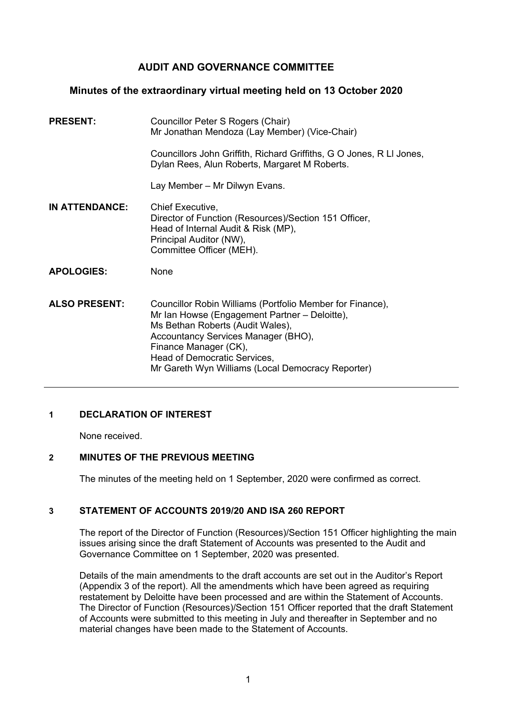# **AUDIT AND GOVERNANCE COMMITTEE**

### **Minutes of the extraordinary virtual meeting held on 13 October 2020**

| <b>PRESENT:</b>       | Councillor Peter S Rogers (Chair)<br>Mr Jonathan Mendoza (Lay Member) (Vice-Chair)                                                                                                                                                                                                                  |
|-----------------------|-----------------------------------------------------------------------------------------------------------------------------------------------------------------------------------------------------------------------------------------------------------------------------------------------------|
|                       | Councillors John Griffith, Richard Griffiths, G O Jones, R LI Jones,<br>Dylan Rees, Alun Roberts, Margaret M Roberts.                                                                                                                                                                               |
|                       | Lay Member - Mr Dilwyn Evans.                                                                                                                                                                                                                                                                       |
| <b>IN ATTENDANCE:</b> | Chief Executive,<br>Director of Function (Resources)/Section 151 Officer,<br>Head of Internal Audit & Risk (MP),<br>Principal Auditor (NW),<br>Committee Officer (MEH).                                                                                                                             |
| <b>APOLOGIES:</b>     | <b>None</b>                                                                                                                                                                                                                                                                                         |
| <b>ALSO PRESENT:</b>  | Councillor Robin Williams (Portfolio Member for Finance),<br>Mr Ian Howse (Engagement Partner – Deloitte),<br>Ms Bethan Roberts (Audit Wales),<br>Accountancy Services Manager (BHO),<br>Finance Manager (CK),<br>Head of Democratic Services,<br>Mr Gareth Wyn Williams (Local Democracy Reporter) |

# **1 DECLARATION OF INTEREST**

None received.

#### **2 MINUTES OF THE PREVIOUS MEETING**

The minutes of the meeting held on 1 September, 2020 were confirmed as correct.

#### **3 STATEMENT OF ACCOUNTS 2019/20 AND ISA 260 REPORT**

The report of the Director of Function (Resources)/Section 151 Officer highlighting the main issues arising since the draft Statement of Accounts was presented to the Audit and Governance Committee on 1 September, 2020 was presented.

Details of the main amendments to the draft accounts are set out in the Auditor's Report (Appendix 3 of the report). All the amendments which have been agreed as requiring restatement by Deloitte have been processed and are within the Statement of Accounts. The Director of Function (Resources)/Section 151 Officer reported that the draft Statement of Accounts were submitted to this meeting in July and thereafter in September and no material changes have been made to the Statement of Accounts.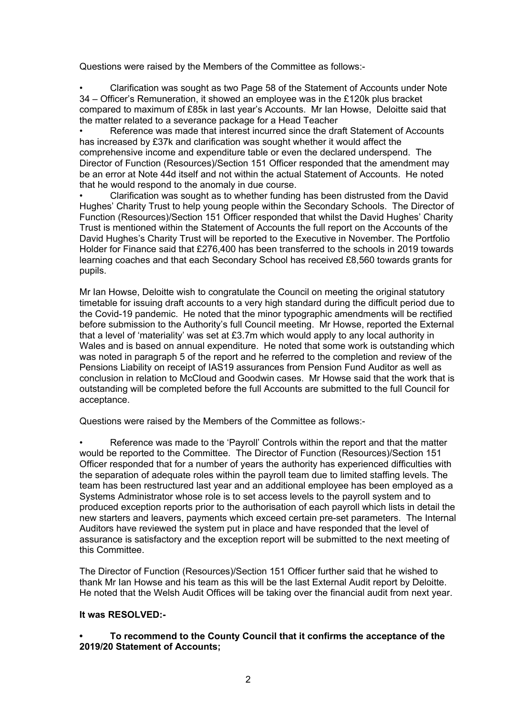Questions were raised by the Members of the Committee as follows:-

• Clarification was sought as two Page 58 of the Statement of Accounts under Note 34 – Officer's Remuneration, it showed an employee was in the £120k plus bracket compared to maximum of £85k in last year's Accounts. Mr Ian Howse, Deloitte said that the matter related to a severance package for a Head Teacher

• Reference was made that interest incurred since the draft Statement of Accounts has increased by £37k and clarification was sought whether it would affect the comprehensive income and expenditure table or even the declared underspend. The Director of Function (Resources)/Section 151 Officer responded that the amendment may be an error at Note 44d itself and not within the actual Statement of Accounts. He noted that he would respond to the anomaly in due course.

• Clarification was sought as to whether funding has been distrusted from the David Hughes' Charity Trust to help young people within the Secondary Schools. The Director of Function (Resources)/Section 151 Officer responded that whilst the David Hughes' Charity Trust is mentioned within the Statement of Accounts the full report on the Accounts of the David Hughes's Charity Trust will be reported to the Executive in November. The Portfolio Holder for Finance said that £276,400 has been transferred to the schools in 2019 towards learning coaches and that each Secondary School has received £8,560 towards grants for pupils.

Mr Ian Howse, Deloitte wish to congratulate the Council on meeting the original statutory timetable for issuing draft accounts to a very high standard during the difficult period due to the Covid-19 pandemic. He noted that the minor typographic amendments will be rectified before submission to the Authority's full Council meeting. Mr Howse, reported the External that a level of 'materiality' was set at £3.7m which would apply to any local authority in Wales and is based on annual expenditure. He noted that some work is outstanding which was noted in paragraph 5 of the report and he referred to the completion and review of the Pensions Liability on receipt of IAS19 assurances from Pension Fund Auditor as well as conclusion in relation to McCloud and Goodwin cases. Mr Howse said that the work that is outstanding will be completed before the full Accounts are submitted to the full Council for acceptance.

Questions were raised by the Members of the Committee as follows:-

• Reference was made to the 'Payroll' Controls within the report and that the matter would be reported to the Committee. The Director of Function (Resources)/Section 151 Officer responded that for a number of years the authority has experienced difficulties with the separation of adequate roles within the payroll team due to limited staffing levels. The team has been restructured last year and an additional employee has been employed as a Systems Administrator whose role is to set access levels to the payroll system and to produced exception reports prior to the authorisation of each payroll which lists in detail the new starters and leavers, payments which exceed certain pre-set parameters. The Internal Auditors have reviewed the system put in place and have responded that the level of assurance is satisfactory and the exception report will be submitted to the next meeting of this Committee.

The Director of Function (Resources)/Section 151 Officer further said that he wished to thank Mr Ian Howse and his team as this will be the last External Audit report by Deloitte. He noted that the Welsh Audit Offices will be taking over the financial audit from next year.

### **It was RESOLVED:-**

#### **• To recommend to the County Council that it confirms the acceptance of the 2019/20 Statement of Accounts;**